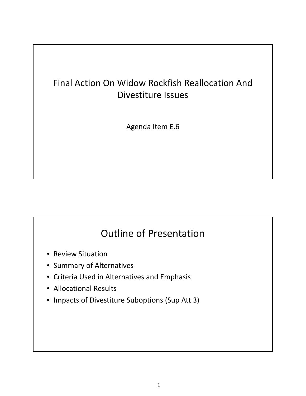Agenda Item E.6 Supplemental PPT Presentation April 2015

### Final Action On Widow Rockfish Reallocation And Divestiture Issues

Agenda Item E.6

# Outline of Presentation

- Review Situation
- Summary of Alternatives
- Criteria Used in Alternatives and Emphasis
- Allocational Results
- Impacts of Divestiture Suboptions (Sup Att 3)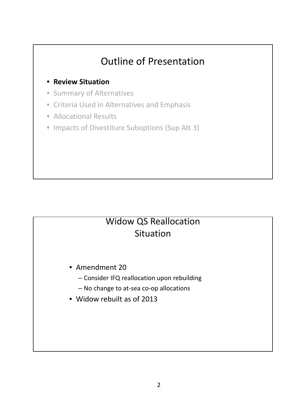#### • **Review Situation**

- Summary of Alternatives
- Criteria Used in Alternatives and Emphasis
- Allocational Results
- Impacts of Divestiture Suboptions (Sup Att 3)

## Widow QS Reallocation Situation

- Amendment 20
	- Consider IFQ reallocation upon rebuilding
	- No change to at‐sea co‐op allocations
- Widow rebuilt as of 2013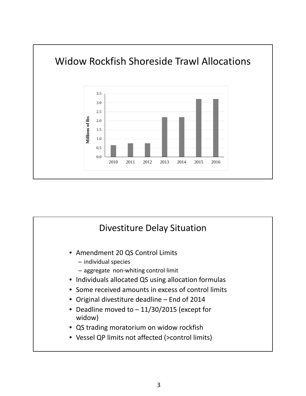

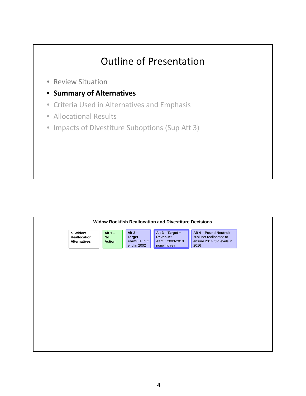- Review Situation
- **Summary of Alternatives**
- Criteria Used in Alternatives and Emphasis
- Allocational Results
- Impacts of Divestiture Suboptions (Sup Att 3)

| <b>Widow Rockfish Reallocation and Divestiture Decisions</b> |                                         |                                                           |                                                                    |                                                                                      |
|--------------------------------------------------------------|-----------------------------------------|-----------------------------------------------------------|--------------------------------------------------------------------|--------------------------------------------------------------------------------------|
| a. Widow<br>Reallocation<br><b>Alternatives</b>              | Alt $1 -$<br><b>No</b><br><b>Action</b> | Alt $2 -$<br><b>Target</b><br>Formula: but<br>end in 2002 | Alt $3 - Target +$<br>Revenue:<br>Alt 2 + 2003-2010<br>nonwhtg rev | Alt 4 - Pound Neutral:<br>70% not reallocated to<br>ensure 2014 QP levels in<br>2016 |
|                                                              |                                         |                                                           |                                                                    |                                                                                      |
|                                                              |                                         |                                                           |                                                                    |                                                                                      |
|                                                              |                                         |                                                           |                                                                    |                                                                                      |
|                                                              |                                         |                                                           |                                                                    |                                                                                      |
|                                                              |                                         |                                                           |                                                                    |                                                                                      |
|                                                              |                                         |                                                           |                                                                    |                                                                                      |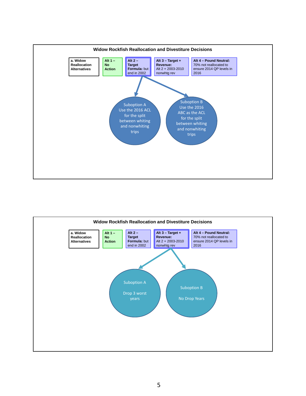

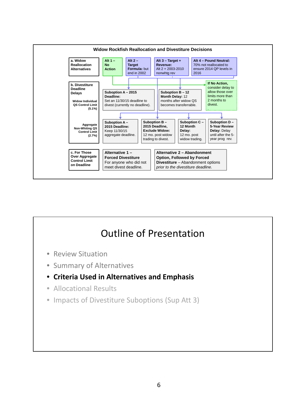

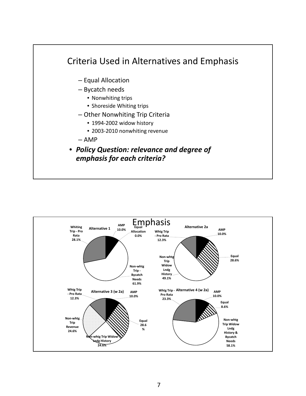

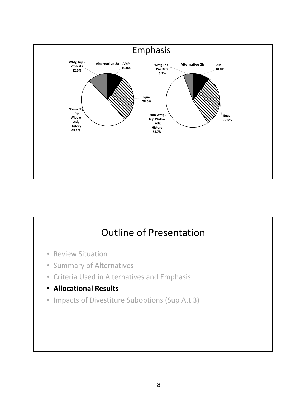

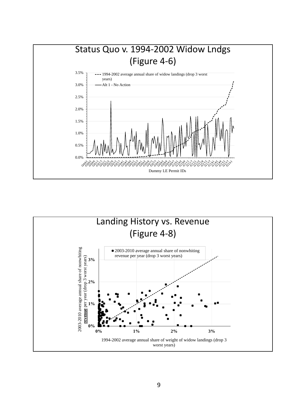

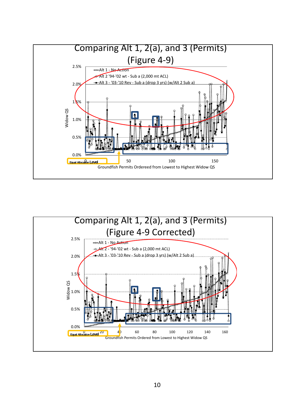

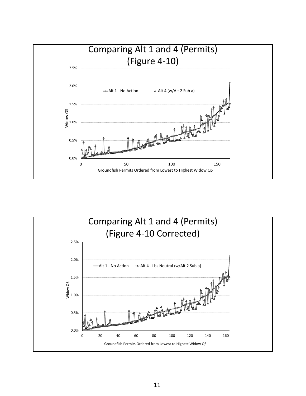

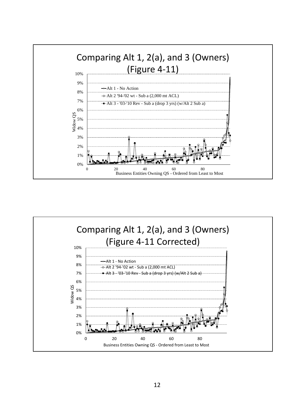

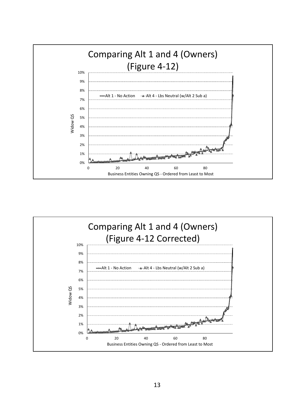

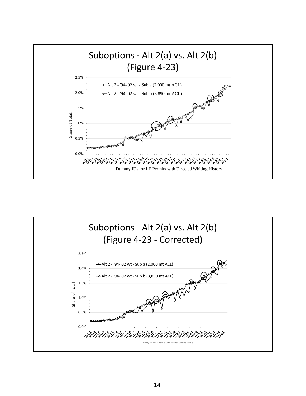

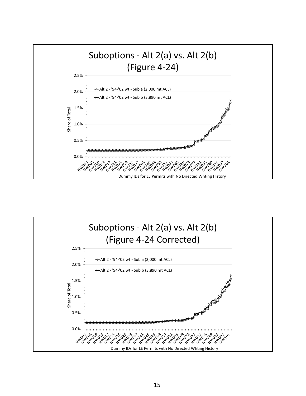

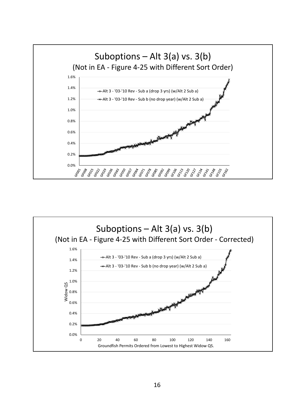

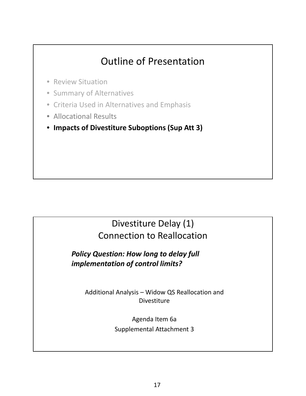- Review Situation
- Summary of Alternatives
- Criteria Used in Alternatives and Emphasis
- Allocational Results
- **Impacts of Divestiture Suboptions (Sup Att 3)**

### Divestiture Delay (1) Connection to Reallocation

*Policy Question: How long to delay full implementation of control limits?*

> Additional Analysis – Widow QS Reallocation and **Divestiture**

> > Agenda Item 6a Supplemental Attachment 3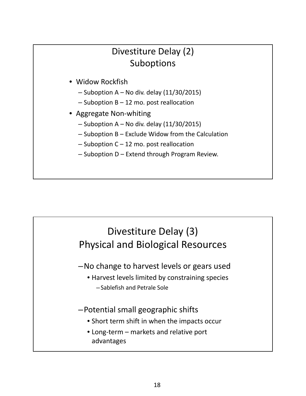### Divestiture Delay (2) Suboptions

- Widow Rockfish
	- $-$  Suboption A No div. delay (11/30/2015)
	- $-$  Suboption B  $-$  12 mo. post reallocation
- Aggregate Non‐whiting
	- $-$  Suboption A No div. delay (11/30/2015)
	- Suboption B Exclude Widow from the Calculation
	- $-$  Suboption C 12 mo. post reallocation
	- Suboption D Extend through Program Review.

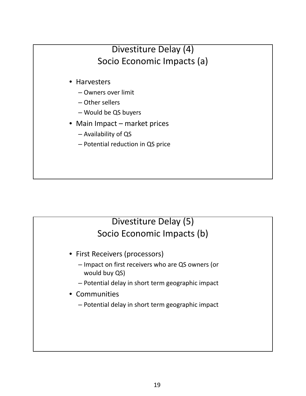### Divestiture Delay (4) Socio Economic Impacts (a)

- Harvesters
	- Owners over limit
	- Other sellers
	- Would be QS buyers
- Main Impact market prices
	- Availability of QS
	- Potential reduction in QS price

### Divestiture Delay (5) Socio Economic Impacts (b)

- First Receivers (processors)
	- Impact on first receivers who are QS owners (or would buy QS)
	- Potential delay in short term geographic impact
- Communities
	- Potential delay in short term geographic impact